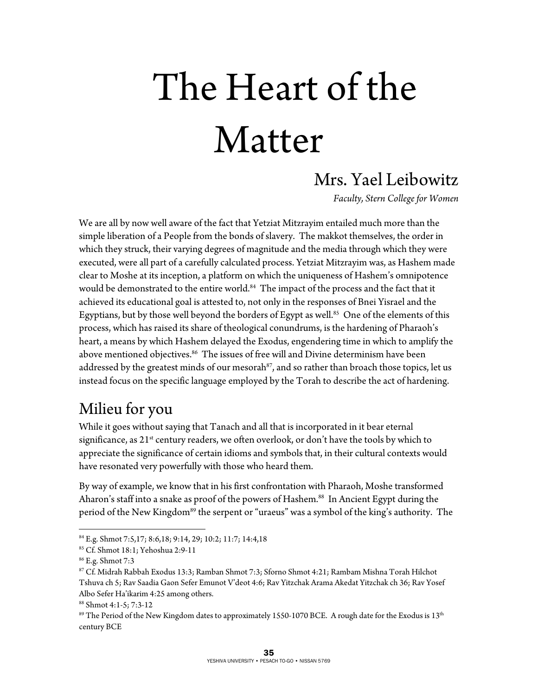# The Heart of the Matter

#### Mrs. Yael Leibowitz

*Faculty, Stern College for Women* 

We are all by now well aware of the fact that Yetziat Mitzrayim entailed much more than the simple liberation of a People from the bonds of slavery. The makkot themselves, the order in which they struck, their varying degrees of magnitude and the media through which they were executed, were all part of a carefully calculated process. Yetziat Mitzrayim was, as Hashem made clear to Moshe at its inception, a platform on which the uniqueness of Hashem's omnipotence would be demonstrated to the entire world.<sup>84</sup> The impact of the process and the fact that it achieved its educational goal is attested to, not only in the responses of Bnei Yisrael and the Egyptians, but by those well beyond the borders of Egypt as well.<sup>85</sup> One of the elements of this process, which has raised its share of theological conundrums, is the hardening of Pharaoh's heart, a means by which Hashem delayed the Exodus, engendering time in which to amplify the above mentioned objectives.<sup>86</sup> The issues of free will and Divine determinism have been addressed by the greatest minds of our mesorah<sup>87</sup>, and so rather than broach those topics, let us instead focus on the specific language employed by the Torah to describe the act of hardening.

#### Milieu for you

While it goes without saying that Tanach and all that is incorporated in it bear eternal significance, as  $21^{st}$  century readers, we often overlook, or don't have the tools by which to appreciate the significance of certain idioms and symbols that, in their cultural contexts would have resonated very powerfully with those who heard them.

By way of example, we know that in his first confrontation with Pharaoh, Moshe transformed Aharon's staff into a snake as proof of the powers of Hashem.<sup>88</sup> In Ancient Egypt during the period of the New Kingdom<sup>89</sup> the serpent or "uraeus" was a symbol of the king's authority. The

1

<sup>84</sup> E.g. Shmot 7:5,17; 8:6,18; 9:14, 29; 10:2; 11:7; 14:4,18 85 Cf. Shmot 18:1; Yehoshua 2:9-11

<sup>86</sup> E.g. Shmot 7:3

<sup>87</sup> Cf. Midrah Rabbah Exodus 13:3; Ramban Shmot 7:3; Sforno Shmot 4:21; Rambam Mishna Torah Hilchot Tshuva ch 5; Rav Saadia Gaon Sefer Emunot V'deot 4:6; Rav Yitzchak Arama Akedat Yitzchak ch 36; Rav Yosef Albo Sefer Ha'ikarim 4:25 among others.

<sup>88</sup> Shmot 4:1-5; 7:3-12

<sup>&</sup>lt;sup>89</sup> The Period of the New Kingdom dates to approximately 1550-1070 BCE. A rough date for the Exodus is  $13<sup>th</sup>$ century BCE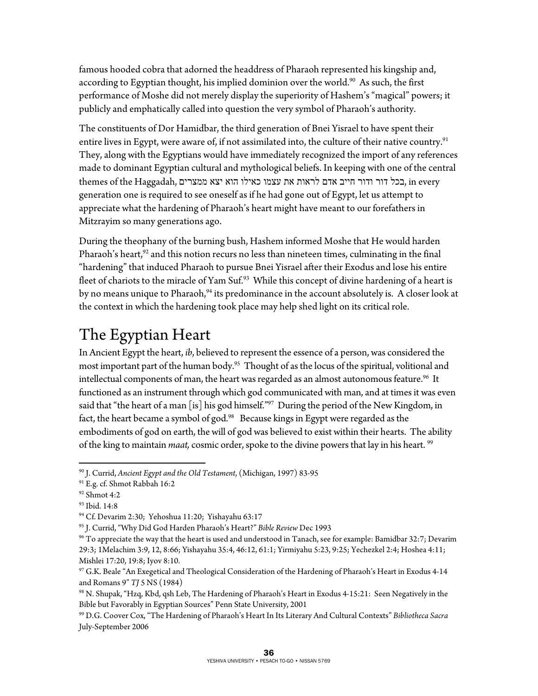famous hooded cobra that adorned the headdress of Pharaoh represented his kingship and, according to Egyptian thought, his implied dominion over the world.<sup>90</sup> As such, the first performance of Moshe did not merely display the superiority of Hashem's "magical" powers; it publicly and emphatically called into question the very symbol of Pharaoh's authority.

The constituents of Dor Hamidbar, the third generation of Bnei Yisrael to have spent their entire lives in Egypt, were aware of, if not assimilated into, the culture of their native country.<sup>91</sup> They, along with the Egyptians would have immediately recognized the import of any references made to dominant Egyptian cultural and mythological beliefs. In keeping with one of the central themes of the Haggadah, בכל דור ודור חייב אדם לראות את עצמו כאילו הוא יצא ממצרים, in every generation one is required to see oneself as if he had gone out of Egypt, let us attempt to appreciate what the hardening of Pharaoh's heart might have meant to our forefathers in Mitzrayim so many generations ago.

During the theophany of the burning bush, Hashem informed Moshe that He would harden Pharaoh's heart, $92$  and this notion recurs no less than nineteen times, culminating in the final "hardening" that induced Pharaoh to pursue Bnei Yisrael after their Exodus and lose his entire fleet of chariots to the miracle of Yam Suf.<sup>93</sup> While this concept of divine hardening of a heart is by no means unique to Pharaoh,<sup>94</sup> its predominance in the account absolutely is. A closer look at the context in which the hardening took place may help shed light on its critical role.

### The Egyptian Heart

In Ancient Egypt the heart, *ib*, believed to represent the essence of a person, was considered the most important part of the human body.<sup>95</sup> Thought of as the locus of the spiritual, volitional and intellectual components of man, the heart was regarded as an almost autonomous feature. $96$  It functioned as an instrument through which god communicated with man, and at times it was even said that "the heart of a man [is] his god himself."<sup>97</sup> During the period of the New Kingdom, in fact, the heart became a symbol of god.<sup>98</sup> Because kings in Egypt were regarded as the embodiments of god on earth, the will of god was believed to exist within their hearts. The ability of the king to maintain *maat*, cosmic order, spoke to the divine powers that lay in his heart.<sup>99</sup>

<sup>1</sup> <sup>90</sup> J. Currid, *Ancient Egypt and the Old Testament*, (Michigan, 1997) 83-95<br><sup>91</sup> E.g. cf. Shmot Rabbah 16:2

<sup>92</sup> Shmot 4:2

<sup>93</sup> Ibid. 14:8

<sup>94</sup> Cf. Devarim 2:30; Yehoshua 11:20; Yishayahu 63:17

<sup>&</sup>lt;sup>95</sup> J. Currid, "Why Did God Harden Pharaoh's Heart?" *Bible Review* Dec 1993<br><sup>96</sup> To appreciate the way that the heart is used and understood in Tanach, see for example: Bamidbar 32:7; Devarim 29:3; 1Melachim 3:9, 12, 8:66; Yishayahu 35:4, 46:12, 61:1; Yirmiyahu 5:23, 9:25; Yechezkel 2:4; Hoshea 4:11; Mishlei 17:20, 19:8; Iyov 8:10.

<sup>97</sup> G.K. Beale "An Exegetical and Theological Consideration of the Hardening of Pharaoh's Heart in Exodus 4-14 and Romans 9" *TJ* 5 NS (1984)<br><sup>98</sup> N. Shupak, "Hzq, Kbd, qsh Leb, The Hardening of Pharaoh's Heart in Exodus 4-15:21: Seen Negatively in the

Bible but Favorably in Egyptian Sources" Penn State University, 2001

<sup>99</sup> D.G. Coover Cox, "The Hardening of Pharaoh's Heart In Its Literary And Cultural Contexts" *Bibliotheca Sacra* July-September 2006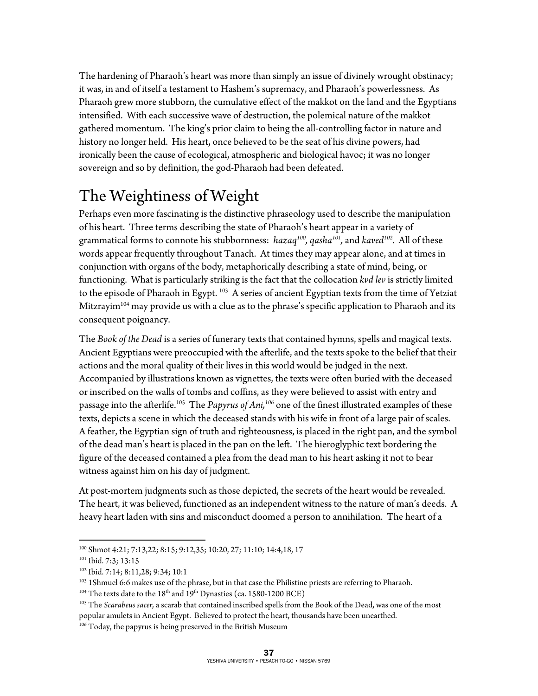The hardening of Pharaoh's heart was more than simply an issue of divinely wrought obstinacy; it was, in and of itself a testament to Hashem's supremacy, and Pharaoh's powerlessness. As Pharaoh grew more stubborn, the cumulative effect of the makkot on the land and the Egyptians intensified. With each successive wave of destruction, the polemical nature of the makkot gathered momentum. The king's prior claim to being the all-controlling factor in nature and history no longer held. His heart, once believed to be the seat of his divine powers, had ironically been the cause of ecological, atmospheric and biological havoc; it was no longer sovereign and so by definition, the god-Pharaoh had been defeated.

## The Weightiness of Weight

Perhaps even more fascinating is the distinctive phraseology used to describe the manipulation of his heart. Three terms describing the state of Pharaoh's heart appear in a variety of grammatical forms to connote his stubbornness: *hazaq100, qasha101,* and *kaved102.* All of these words appear frequently throughout Tanach. At times they may appear alone, and at times in conjunction with organs of the body, metaphorically describing a state of mind, being, or functioning. What is particularly striking is the fact that the collocation *kvd lev* is strictly limited to the episode of Pharaoh in Egypt.<sup>103</sup> A series of ancient Egyptian texts from the time of Yetziat Mitzrayim<sup>104</sup> may provide us with a clue as to the phrase's specific application to Pharaoh and its consequent poignancy.

The *Book of the Dead* is a series of funerary texts that contained hymns, spells and magical texts. Ancient Egyptians were preoccupied with the afterlife, and the texts spoke to the belief that their actions and the moral quality of their lives in this world would be judged in the next. Accompanied by illustrations known as vignettes, the texts were often buried with the deceased or inscribed on the walls of tombs and coffins, as they were believed to assist with entry and passage into the afterlife.105 The *Papyrus of Ani,106* one of the finest illustrated examples of these texts, depicts a scene in which the deceased stands with his wife in front of a large pair of scales. A feather, the Egyptian sign of truth and righteousness, is placed in the right pan, and the symbol of the dead man's heart is placed in the pan on the left. The hieroglyphic text bordering the figure of the deceased contained a plea from the dead man to his heart asking it not to bear witness against him on his day of judgment.

At post-mortem judgments such as those depicted, the secrets of the heart would be revealed. The heart, it was believed, functioned as an independent witness to the nature of man's deeds. A heavy heart laden with sins and misconduct doomed a person to annihilation. The heart of a

 $\overline{a}$ <sup>100</sup> Shmot 4:21; 7:13,22; 8:15; 9:12,35; 10:20, 27; 11:10; 14:4,18, 17<br><sup>101</sup> Ibid. 7:3; 13:15

<sup>102</sup> Ibid. 7:14; 8:11,28; 9:34; 10:1

<sup>&</sup>lt;sup>103</sup> 1Shmuel 6:6 makes use of the phrase, but in that case the Philistine priests are referring to Pharaoh.<br><sup>104</sup> The texts date to the 18<sup>th</sup> and 19<sup>th</sup> Dynasties (ca. 1580-1200 BCE)<br><sup>105</sup> The *Scarabeus sacer*, a scara popular amulets in Ancient Egypt. Believed to protect the heart, thousands have been unearthed.

 $106$  Today, the papyrus is being preserved in the British Museum